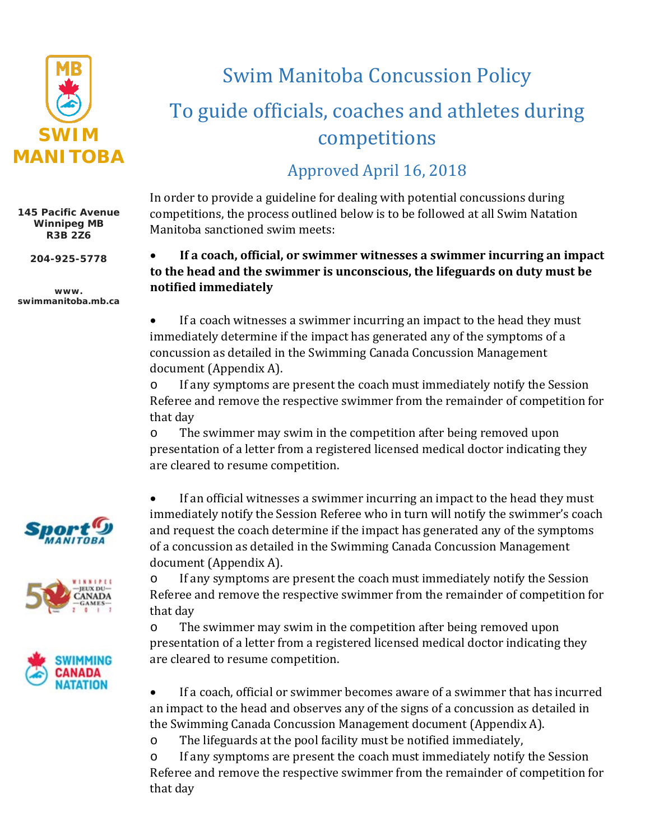

**145 Pacific Avenue Winnipeg MB R3B 2Z6**

**204-925-5778**

**www. swimmanitoba.mb.ca**







# Swim Manitoba Concussion Policy To guide officials, coaches and athletes during competitions

### Approved April 16, 2018

In order to provide a guideline for dealing with potential concussions during competitions, the process outlined below is to be followed at all Swim Natation Manitoba sanctioned swim meets:

#### • **If a coach, official, or swimmer witnesses a swimmer incurring an impact to the head and the swimmer is unconscious, the lifeguards on duty must be notified immediately**

• If a coach witnesses a swimmer incurring an impact to the head they must immediately determine if the impact has generated any of the symptoms of a concussion as detailed in the Swimming Canada Concussion Management document (Appendix A).

o If any symptoms are present the coach must immediately notify the Session Referee and remove the respective swimmer from the remainder of competition for that day

o The swimmer may swim in the competition after being removed upon presentation of a letter from a registered licensed medical doctor indicating they are cleared to resume competition.

• If an official witnesses a swimmer incurring an impact to the head they must immediately notify the Session Referee who in turn will notify the swimmer's coach and request the coach determine if the impact has generated any of the symptoms of a concussion as detailed in the Swimming Canada Concussion Management document (Appendix A).

o If any symptoms are present the coach must immediately notify the Session Referee and remove the respective swimmer from the remainder of competition for that day

o The swimmer may swim in the competition after being removed upon presentation of a letter from a registered licensed medical doctor indicating they are cleared to resume competition.

• If a coach, official or swimmer becomes aware of a swimmer that has incurred an impact to the head and observes any of the signs of a concussion as detailed in the Swimming Canada Concussion Management document (Appendix A).

o The lifeguards at the pool facility must be notified immediately,

o If any symptoms are present the coach must immediately notify the Session Referee and remove the respective swimmer from the remainder of competition for that day